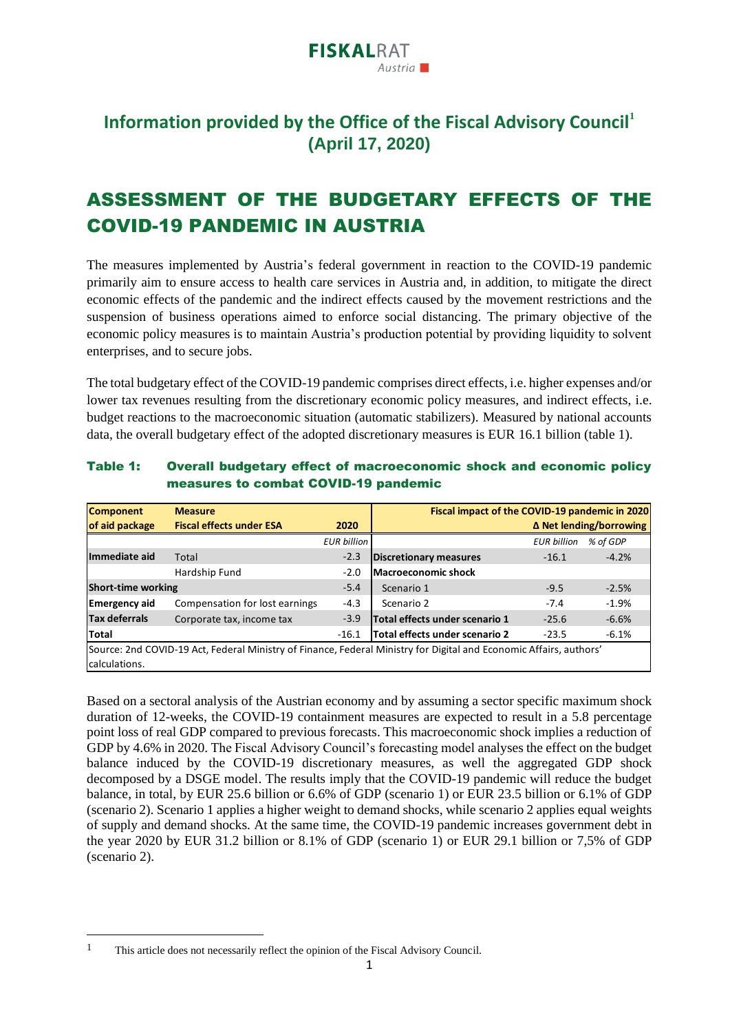

### **Information provided by the Office of the Fiscal Advisory Council<sup>1</sup> (April 17, 2020)**

### ASSESSMENT OF THE BUDGETARY EFFECTS OF THE COVID-19 PANDEMIC IN AUSTRIA

The measures implemented by Austria's federal government in reaction to the COVID-19 pandemic primarily aim to ensure access to health care services in Austria and, in addition, to mitigate the direct economic effects of the pandemic and the indirect effects caused by the movement restrictions and the suspension of business operations aimed to enforce social distancing. The primary objective of the economic policy measures is to maintain Austria's production potential by providing liquidity to solvent enterprises, and to secure jobs.

The total budgetary effect of the COVID-19 pandemic comprises direct effects, i.e. higher expenses and/or lower tax revenues resulting from the discretionary economic policy measures, and indirect effects, i.e. budget reactions to the macroeconomic situation (automatic stabilizers). Measured by national accounts data, the overall budgetary effect of the adopted discretionary measures is EUR 16.1 billion (table 1).

| Table 1: | Overall budgetary effect of macroeconomic shock and economic policy |
|----------|---------------------------------------------------------------------|
|          | measures to combat COVID-19 pandemic                                |

| <b>Component</b>                                                                                                   | <b>Measure</b>                  |                    | Fiscal impact of the COVID-19 pandemic in 2020 |                    |                                |  |
|--------------------------------------------------------------------------------------------------------------------|---------------------------------|--------------------|------------------------------------------------|--------------------|--------------------------------|--|
| of aid package                                                                                                     | <b>Fiscal effects under ESA</b> | 2020               |                                                |                    | $\Delta$ Net lending/borrowing |  |
|                                                                                                                    |                                 | <b>EUR billion</b> |                                                | <b>EUR billion</b> | % of GDP                       |  |
| Immediate aid                                                                                                      | Total                           | $-2.3$             | Discretionary measures                         | $-16.1$            | $-4.2%$                        |  |
|                                                                                                                    | Hardship Fund                   | $-2.0$             | <b>Macroeconomic shock</b>                     |                    |                                |  |
| <b>Short-time working</b>                                                                                          |                                 | $-5.4$             | Scenario 1                                     | $-9.5$             | $-2.5%$                        |  |
| <b>Emergency aid</b>                                                                                               | Compensation for lost earnings  | $-4.3$             | Scenario 2                                     | $-7.4$             | $-1.9%$                        |  |
| <b>Tax deferrals</b>                                                                                               | Corporate tax, income tax       | $-3.9$             | Total effects under scenario 1                 | $-25.6$            | $-6.6%$                        |  |
| Total                                                                                                              |                                 | $-16.1$            | Total effects under scenario 2                 | $-23.5$            | $-6.1%$                        |  |
| Source: 2nd COVID-19 Act, Federal Ministry of Finance, Federal Ministry for Digital and Economic Affairs, authors' |                                 |                    |                                                |                    |                                |  |
| calculations.                                                                                                      |                                 |                    |                                                |                    |                                |  |

Based on a sectoral analysis of the Austrian economy and by assuming a sector specific maximum shock duration of 12-weeks, the COVID-19 containment measures are expected to result in a 5.8 percentage point loss of real GDP compared to previous forecasts. This macroeconomic shock implies a reduction of GDP by 4.6% in 2020. The Fiscal Advisory Council's forecasting model analyses the effect on the budget balance induced by the COVID-19 discretionary measures, as well the aggregated GDP shock decomposed by a DSGE model. The results imply that the COVID-19 pandemic will reduce the budget balance, in total, by EUR 25.6 billion or 6.6% of GDP (scenario 1) or EUR 23.5 billion or 6.1% of GDP (scenario 2). Scenario 1 applies a higher weight to demand shocks, while scenario 2 applies equal weights of supply and demand shocks. At the same time, the COVID-19 pandemic increases government debt in the year 2020 by EUR 31.2 billion or 8.1% of GDP (scenario 1) or EUR 29.1 billion or 7,5% of GDP (scenario 2). Fiscal impact of the COVID-19 pandemic in 2020<br>
Inmediate aid Total<br>
Inmediate aid Total<br>
Hardship Fund<br>
Hardship Fund<br>
2.0 Macroeconomic shock<br>
Short-thine working<br>
Short-the working<br>
Short-the working<br>
Energency aid Com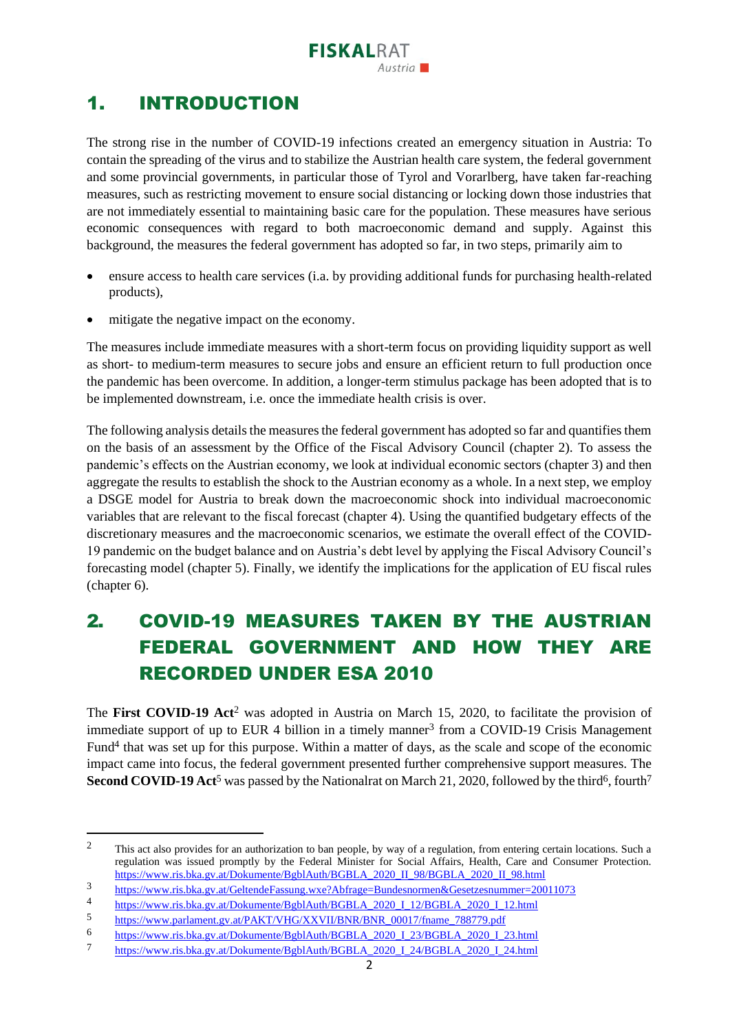## 1. INTRODUCTION

The strong rise in the number of COVID-19 infections created an emergency situation in Austria: To contain the spreading of the virus and to stabilize the Austrian health care system, the federal government and some provincial governments, in particular those of Tyrol and Vorarlberg, have taken far-reaching measures, such as restricting movement to ensure social distancing or locking down those industries that are not immediately essential to maintaining basic care for the population. These measures have serious economic consequences with regard to both macroeconomic demand and supply. Against this background, the measures the federal government has adopted so far, in two steps, primarily aim to

- ensure access to health care services (i.a. by providing additional funds for purchasing health-related products),
- mitigate the negative impact on the economy.

The measures include immediate measures with a short-term focus on providing liquidity support as well as short- to medium-term measures to secure jobs and ensure an efficient return to full production once the pandemic has been overcome. In addition, a longer-term stimulus package has been adopted that is to be implemented downstream, i.e. once the immediate health crisis is over.

The following analysis details the measures the federal government has adopted so far and quantifies them on the basis of an assessment by the Office of the Fiscal Advisory Council (chapter 2). To assess the pandemic's effects on the Austrian economy, we look at individual economic sectors (chapter 3) and then aggregate the results to establish the shock to the Austrian economy as a whole. In a next step, we employ a DSGE model for Austria to break down the macroeconomic shock into individual macroeconomic variables that are relevant to the fiscal forecast (chapter 4). Using the quantified budgetary effects of the discretionary measures and the macroeconomic scenarios, we estimate the overall effect of the COVID-19 pandemic on the budget balance and on Austria's debt level by applying the Fiscal Advisory Council's forecasting model (chapter 5). Finally, we identify the implications for the application of EU fiscal rules (chapter 6).

# 2. COVID-19 MEASURES TAKEN BY THE AUSTRIAN FEDERAL GOVERNMENT AND HOW THEY ARE RECORDED UNDER ESA 2010

The **First COVID-19 Act**<sup>2</sup> was adopted in Austria on March 15, 2020, to facilitate the provision of immediate support of up to EUR 4 billion in a timely manner<sup>3</sup> from a COVID-19 Crisis Management Fund<sup>4</sup> that was set up for this purpose. Within a matter of days, as the scale and scope of the economic impact came into focus, the federal government presented further comprehensive support measures. The **Second COVID-19 Act<sup>5</sup>** was passed by the Nationalrat on March 21, 2020, followed by the third<sup>6</sup>, fourth<sup>7</sup>

<sup>&</sup>lt;sup>2</sup> This act also provides for an authorization to ban people, by way of a regulation, from entering certain locations. Such a regulation was issued promptly by the Federal Minister for Social Affairs, Health, Care and Consumer Protection. [https://www.ris.bka.gv.at/Dokumente/BgblAuth/BGBLA\\_2020\\_II\\_98/BGBLA\\_2020\\_II\\_98.html](https://www.ris.bka.gv.at/Dokumente/BgblAuth/BGBLA_2020_II_98/BGBLA_2020_II_98.html)

<sup>3</sup> <https://www.ris.bka.gv.at/GeltendeFassung.wxe?Abfrage=Bundesnormen&Gesetzesnummer=20011073>

<sup>4</sup> [https://www.ris.bka.gv.at/Dokumente/BgblAuth/BGBLA\\_2020\\_I\\_12/BGBLA\\_2020\\_I\\_12.html](https://www.ris.bka.gv.at/Dokumente/BgblAuth/BGBLA_2020_I_12/BGBLA_2020_I_12.html)<br>5 https://www.prelement.gv.et/DAVT/VUG/VVVULPNR/PNR\_00017/freems\_788770.pdf

[https://www.parlament.gv.at/PAKT/VHG/XXVII/BNR/BNR\\_00017/fname\\_788779.pdf](https://www.parlament.gv.at/PAKT/VHG/XXVII/BNR/BNR_00017/fname_788779.pdf)

<sup>6</sup> [https://www.ris.bka.gv.at/Dokumente/BgblAuth/BGBLA\\_2020\\_I\\_23/BGBLA\\_2020\\_I\\_23.html](https://www.ris.bka.gv.at/Dokumente/BgblAuth/BGBLA_2020_I_23/BGBLA_2020_I_23.html)<br>7 https://www.ris.bka.gv.at/Dokumente/BgblAuth/BGBLA\_2020\_I\_24/BGBLA\_2020\_I\_24.html

<sup>7</sup> [https://www.ris.bka.gv.at/Dokumente/BgblAuth/BGBLA\\_2020\\_I\\_24/BGBLA\\_2020\\_I\\_24.html](https://www.ris.bka.gv.at/Dokumente/BgblAuth/BGBLA_2020_I_24/BGBLA_2020_I_24.html)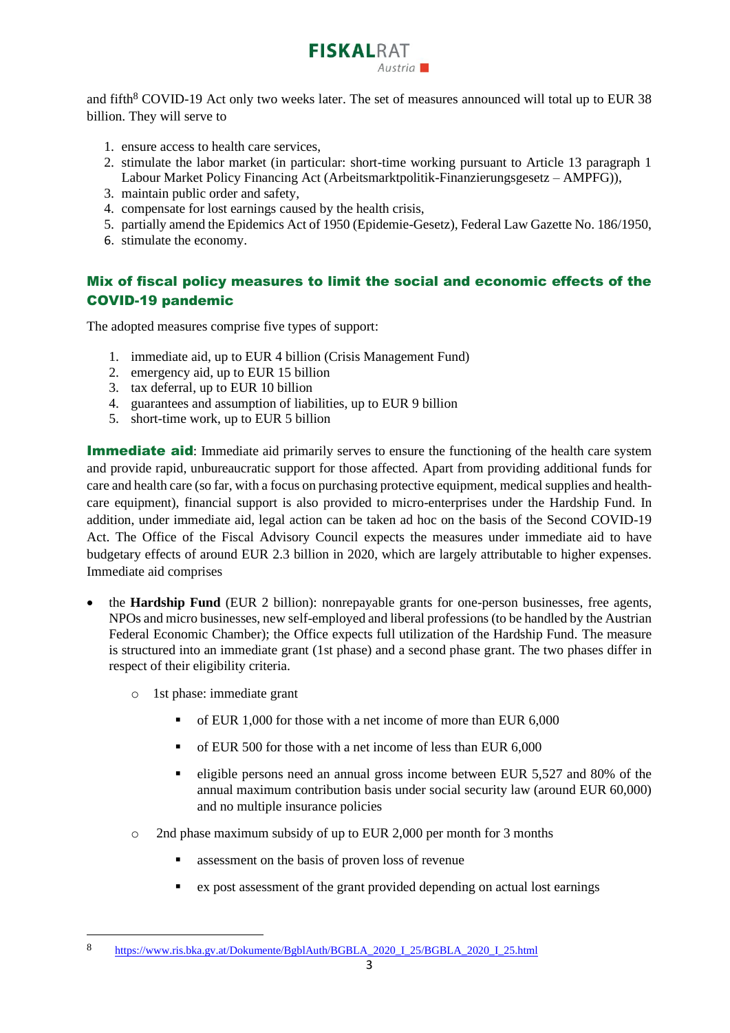

and fifth<sup>8</sup> COVID-19 Act only two weeks later. The set of measures announced will total up to EUR 38 billion. They will serve to

- 1. ensure access to health care services,
- 2. stimulate the labor market (in particular: short-time working pursuant to Article 13 paragraph 1 Labour Market Policy Financing Act (Arbeitsmarktpolitik-Finanzierungsgesetz – AMPFG)),
- 3. maintain public order and safety,
- 4. compensate for lost earnings caused by the health crisis,
- 5. partially amend the Epidemics Act of 1950 (Epidemie-Gesetz), Federal Law Gazette No. 186/1950,
- 6. stimulate the economy.

### Mix of fiscal policy measures to limit the social and economic effects of the COVID-19 pandemic

The adopted measures comprise five types of support:

- 1. immediate aid, up to EUR 4 billion (Crisis Management Fund)
- 2. emergency aid, up to EUR 15 billion
- 3. tax deferral, up to EUR 10 billion
- 4. guarantees and assumption of liabilities, up to EUR 9 billion
- 5. short-time work, up to EUR 5 billion

**Immediate aid:** Immediate aid primarily serves to ensure the functioning of the health care system and provide rapid, unbureaucratic support for those affected. Apart from providing additional funds for care and health care (so far, with a focus on purchasing protective equipment, medical supplies and healthcare equipment), financial support is also provided to micro-enterprises under the Hardship Fund. In addition, under immediate aid, legal action can be taken ad hoc on the basis of the Second COVID-19 Act. The Office of the Fiscal Advisory Council expects the measures under immediate aid to have budgetary effects of around EUR 2.3 billion in 2020, which are largely attributable to higher expenses. Immediate aid comprises

- the **Hardship Fund** (EUR 2 billion): nonrepayable grants for one-person businesses, free agents, NPOs and micro businesses, new self-employed and liberal professions (to be handled by the Austrian Federal Economic Chamber); the Office expects full utilization of the Hardship Fund. The measure is structured into an immediate grant (1st phase) and a second phase grant. The two phases differ in respect of their eligibility criteria.
	- o 1st phase: immediate grant
		- of EUR 1,000 for those with a net income of more than EUR 6,000
		- of EUR 500 for those with a net income of less than EUR 6,000
		- eligible persons need an annual gross income between EUR 5,527 and 80% of the annual maximum contribution basis under social security law (around EUR 60,000) and no multiple insurance policies
	- o 2nd phase maximum subsidy of up to EUR 2,000 per month for 3 months
		- assessment on the basis of proven loss of revenue
		- ex post assessment of the grant provided depending on actual lost earnings

<sup>8</sup> [https://www.ris.bka.gv.at/Dokumente/BgblAuth/BGBLA\\_2020\\_I\\_25/BGBLA\\_2020\\_I\\_25.html](https://www.ris.bka.gv.at/Dokumente/BgblAuth/BGBLA_2020_I_25/BGBLA_2020_I_25.html)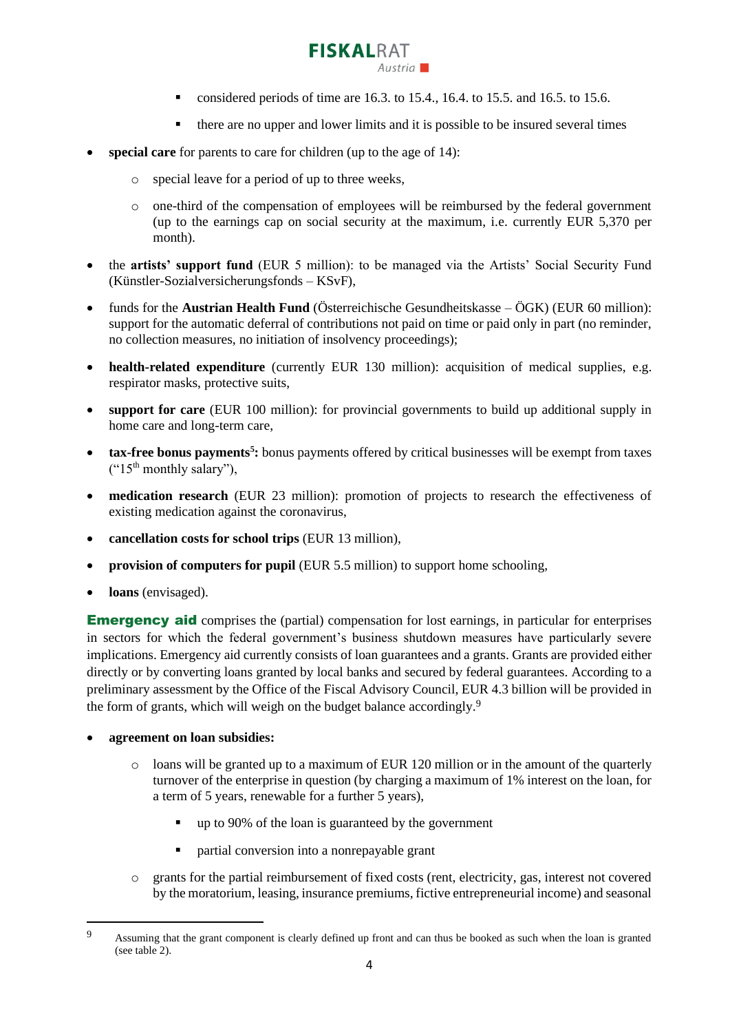

- $\blacksquare$  considered periods of time are 16.3. to 15.4., 16.4. to 15.5. and 16.5. to 15.6.
- there are no upper and lower limits and it is possible to be insured several times
- **special care** for parents to care for children (up to the age of 14):
	- o special leave for a period of up to three weeks,
	- o one-third of the compensation of employees will be reimbursed by the federal government (up to the earnings cap on social security at the maximum, i.e. currently EUR 5,370 per month).
- the **artists' support fund** (EUR 5 million): to be managed via the Artists' Social Security Fund (Künstler-Sozialversicherungsfonds – KSvF),
- funds for the **Austrian Health Fund** (Österreichische Gesundheitskasse ÖGK) (EUR 60 million): support for the automatic deferral of contributions not paid on time or paid only in part (no reminder, no collection measures, no initiation of insolvency proceedings);
- **health-related expenditure** (currently EUR 130 million): acquisition of medical supplies, e.g. respirator masks, protective suits,
- **support for care** (EUR 100 million): for provincial governments to build up additional supply in home care and long-term care,
- **tax-free bonus payments<sup>5</sup>**: bonus payments offered by critical businesses will be exempt from taxes  $($ "15<sup>th</sup> monthly salary"),
- **medication research** (EUR 23 million): promotion of projects to research the effectiveness of existing medication against the coronavirus,
- **cancellation costs for school trips** (EUR 13 million),
- **provision of computers for pupil** (EUR 5.5 million) to support home schooling,
- **loans** (envisaged).

**Emergency aid** comprises the (partial) compensation for lost earnings, in particular for enterprises in sectors for which the federal government's business shutdown measures have particularly severe implications. Emergency aid currently consists of loan guarantees and a grants. Grants are provided either directly or by converting loans granted by local banks and secured by federal guarantees. According to a preliminary assessment by the Office of the Fiscal Advisory Council, EUR 4.3 billion will be provided in the form of grants, which will weigh on the budget balance accordingly.<sup>9</sup>

- **agreement on loan subsidies:**
	- $\circ$  loans will be granted up to a maximum of EUR 120 million or in the amount of the quarterly turnover of the enterprise in question (by charging a maximum of 1% interest on the loan, for a term of 5 years, renewable for a further 5 years),
		- up to 90% of the loan is guaranteed by the government
		- partial conversion into a nonrepayable grant
	- o grants for the partial reimbursement of fixed costs (rent, electricity, gas, interest not covered by the moratorium, leasing, insurance premiums, fictive entrepreneurial income) and seasonal

<sup>9</sup> Assuming that the grant component is clearly defined up front and can thus be booked as such when the loan is granted (see table 2).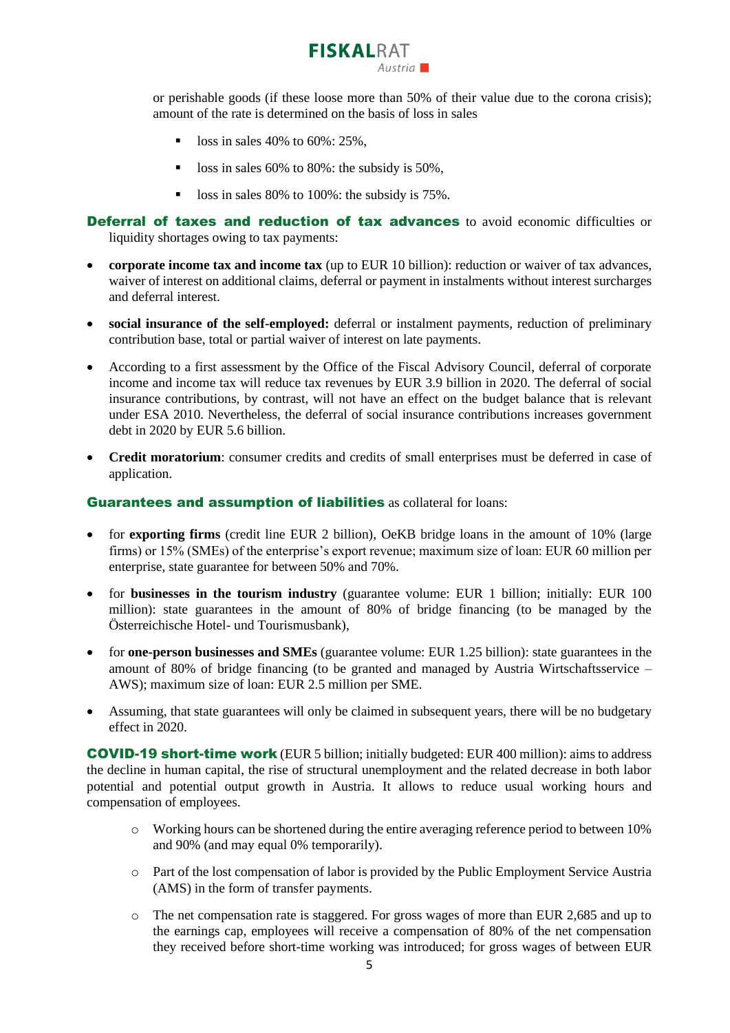

or perishable goods (if these loose more than 50% of their value due to the corona crisis); amount of the rate is determined on the basis of loss in sales

- **•** loss in sales 40% to  $60\%$ : 25%,
- loss in sales 60% to 80%: the subsidy is 50%,
- loss in sales 80% to 100%: the subsidy is 75%.

Deferral of taxes and reduction of tax advances to avoid economic difficulties or liquidity shortages owing to tax payments:

- **corporate income tax and income tax** (up to EUR 10 billion): reduction or waiver of tax advances, waiver of interest on additional claims, deferral or payment in instalments without interest surcharges and deferral interest.
- **social insurance of the self-employed:** deferral or instalment payments, reduction of preliminary contribution base, total or partial waiver of interest on late payments.
- According to a first assessment by the Office of the Fiscal Advisory Council, deferral of corporate income and income tax will reduce tax revenues by EUR 3.9 billion in 2020. The deferral of social insurance contributions, by contrast, will not have an effect on the budget balance that is relevant under ESA 2010. Nevertheless, the deferral of social insurance contributions increases government debt in 2020 by EUR 5.6 billion.
- **Credit moratorium**: consumer credits and credits of small enterprises must be deferred in case of application.

#### Guarantees and assumption of liabilities as collateral for loans:

- for **exporting firms** (credit line EUR 2 billion), OeKB bridge loans in the amount of 10% (large firms) or 15% (SMEs) of the enterprise's export revenue; maximum size of loan: EUR 60 million per enterprise, state guarantee for between 50% and 70%.
- for **businesses in the tourism industry** (guarantee volume: EUR 1 billion; initially: EUR 100 million): state guarantees in the amount of 80% of bridge financing (to be managed by the Österreichische Hotel- und Tourismusbank),
- for **one-person businesses and SMEs** (guarantee volume: EUR 1.25 billion): state guarantees in the amount of 80% of bridge financing (to be granted and managed by Austria Wirtschaftsservice – AWS); maximum size of loan: EUR 2.5 million per SME.
- Assuming, that state guarantees will only be claimed in subsequent years, there will be no budgetary effect in 2020.

COVID-19 short-time work (EUR 5 billion; initially budgeted: EUR 400 million): aims to address the decline in human capital, the rise of structural unemployment and the related decrease in both labor potential and potential output growth in Austria. It allows to reduce usual working hours and compensation of employees.

- $\circ$  Working hours can be shortened during the entire averaging reference period to between 10% and 90% (and may equal 0% temporarily).
- o Part of the lost compensation of labor is provided by the Public Employment Service Austria (AMS) in the form of transfer payments.
- o The net compensation rate is staggered. For gross wages of more than EUR 2,685 and up to the earnings cap, employees will receive a compensation of 80% of the net compensation they received before short-time working was introduced; for gross wages of between EUR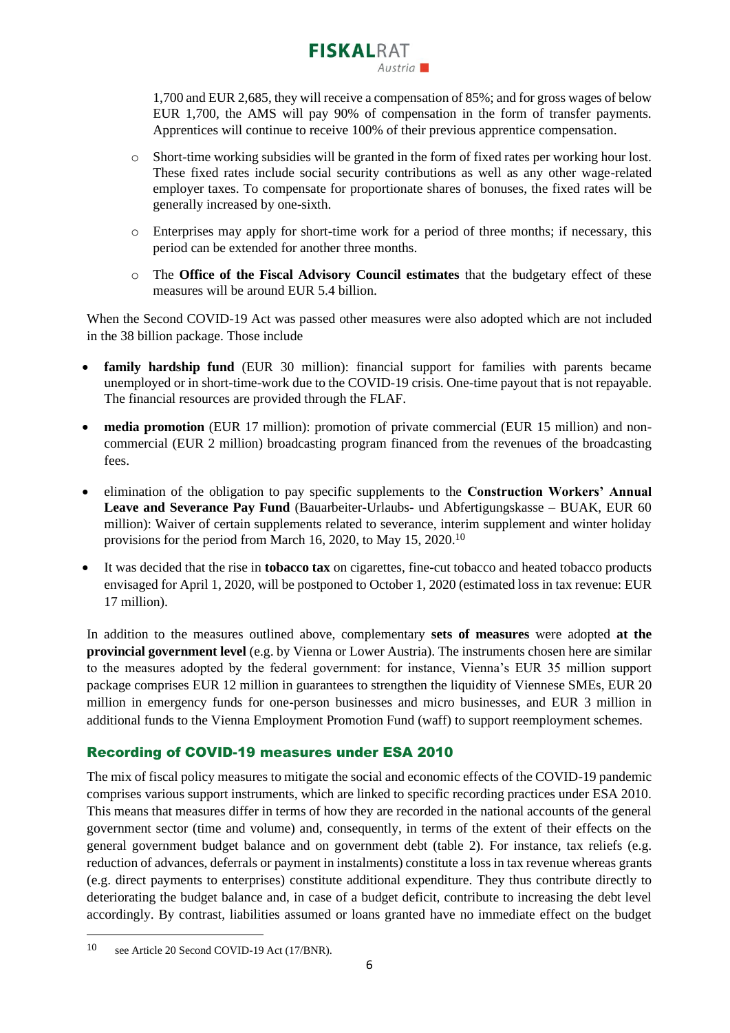1,700 and EUR 2,685, they will receive a compensation of 85%; and for gross wages of below EUR 1,700, the AMS will pay 90% of compensation in the form of transfer payments. Apprentices will continue to receive 100% of their previous apprentice compensation.

 $A$ ustria

**FISKALRAT** 

- o Short-time working subsidies will be granted in the form of [fixed rates](https://www.ams.at/content/dam/download/allgemeine-informationen/covid_kurzarbeit/KUA_Covid_19_Pauschalsatztabellen.xlsx) per working hour lost. These fixed rates include social security contributions as well as any other wage-related employer taxes. To compensate for proportionate shares of bonuses, the fixed rates will be generally increased by one-sixth.
- o Enterprises may apply for short-time work for a period of three months; if necessary, this period can be extended for another three months.
- o The **Office of the Fiscal Advisory Council estimates** that the budgetary effect of these measures will be around EUR 5.4 billion.

When the Second COVID-19 Act was passed other measures were also adopted which are not included in the 38 billion package. Those include

- **family hardship fund** (EUR 30 million): financial support for families with parents became unemployed or in short-time-work due to the COVID-19 crisis. One-time payout that is not repayable. The financial resources are provided through the FLAF.
- **media promotion** (EUR 17 million): promotion of private commercial (EUR 15 million) and noncommercial (EUR 2 million) broadcasting program financed from the revenues of the broadcasting fees.
- elimination of the obligation to pay specific supplements to the **Construction Workers' Annual Leave and Severance Pay Fund** (Bauarbeiter-Urlaubs- und Abfertigungskasse – BUAK, EUR 60 million): Waiver of certain supplements related to severance, interim supplement and winter holiday provisions for the period from March 16, 2020, to May 15, 2020.<sup>10</sup>
- It was decided that the rise in **tobacco tax** on cigarettes, fine-cut tobacco and heated tobacco products envisaged for April 1, 2020, will be postponed to October 1, 2020 (estimated loss in tax revenue: EUR 17 million).

In addition to the measures outlined above, complementary **sets of measures** were adopted **at the provincial government level** (e.g. by Vienna or Lower Austria). The instruments chosen here are similar to the measures adopted by the federal government: for instance, Vienna's EUR 35 million support package comprises EUR 12 million in guarantees to strengthen the liquidity of Viennese SMEs, EUR 20 million in emergency funds for one-person businesses and micro businesses, and EUR 3 million in additional funds to the Vienna Employment Promotion Fund (waff) to support reemployment schemes.

#### Recording of COVID-19 measures under ESA 2010

The mix of fiscal policy measures to mitigate the social and economic effects of the COVID-19 pandemic comprises various support instruments, which are linked to specific recording practices under ESA 2010. This means that measures differ in terms of how they are recorded in the national accounts of the general government sector (time and volume) and, consequently, in terms of the extent of their effects on the general government budget balance and on government debt (table 2). For instance, tax reliefs (e.g. reduction of advances, deferrals or payment in instalments) constitute a loss in tax revenue whereas grants (e.g. direct payments to enterprises) constitute additional expenditure. They thus contribute directly to deteriorating the budget balance and, in case of a budget deficit, contribute to increasing the debt level accordingly. By contrast, liabilities assumed or loans granted have no immediate effect on the budget

<sup>10</sup> see Article 20 Second COVID-19 Act (17/BNR).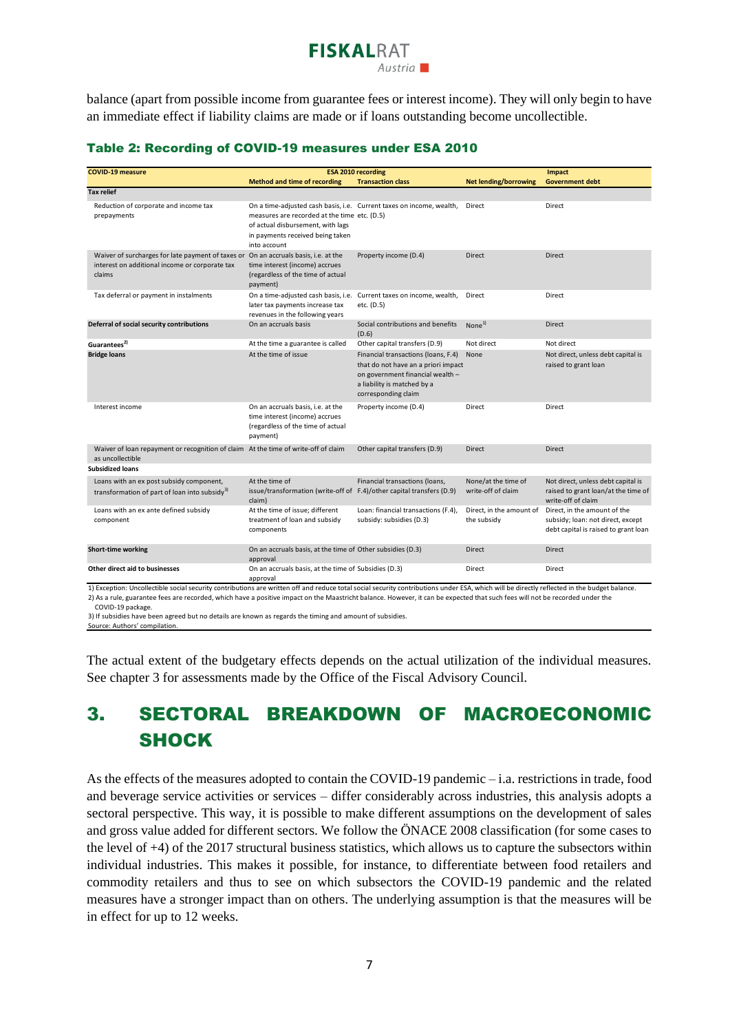### **FISKALRAT**  $A$ ustria

balance (apart from possible income from guarantee fees or interest income). They will only begin to have an immediate effect if liability claims are made or if loans outstanding become uncollectible.

#### Table 2: Recording of COVID-19 measures under ESA 2010

| <b>COVID-19 measure</b>                                                                                                                                                                                                                                                                                                                                                                          |                                                                                                                                                                                                               | <b>ESA 2010 recording</b>                                                                                                                                            | Impact                                    |                                                                                                           |
|--------------------------------------------------------------------------------------------------------------------------------------------------------------------------------------------------------------------------------------------------------------------------------------------------------------------------------------------------------------------------------------------------|---------------------------------------------------------------------------------------------------------------------------------------------------------------------------------------------------------------|----------------------------------------------------------------------------------------------------------------------------------------------------------------------|-------------------------------------------|-----------------------------------------------------------------------------------------------------------|
|                                                                                                                                                                                                                                                                                                                                                                                                  | <b>Method and time of recording</b>                                                                                                                                                                           | <b>Transaction class</b>                                                                                                                                             | <b>Net lending/borrowing</b>              | <b>Government debt</b>                                                                                    |
| <b>Tax relief</b>                                                                                                                                                                                                                                                                                                                                                                                |                                                                                                                                                                                                               |                                                                                                                                                                      |                                           |                                                                                                           |
| Reduction of corporate and income tax<br>prepayments                                                                                                                                                                                                                                                                                                                                             | On a time-adjusted cash basis, i.e. Current taxes on income, wealth,<br>measures are recorded at the time etc. (D.5)<br>of actual disbursement, with lags<br>in payments received being taken<br>into account |                                                                                                                                                                      | Direct                                    | Direct                                                                                                    |
| Waiver of surcharges for late payment of taxes or<br>interest on additional income or corporate tax<br>claims                                                                                                                                                                                                                                                                                    | On an accruals basis, i.e. at the<br>time interest (income) accrues<br>(regardless of the time of actual<br>payment)                                                                                          | Property income (D.4)                                                                                                                                                | <b>Direct</b>                             | <b>Direct</b>                                                                                             |
| Tax deferral or payment in instalments                                                                                                                                                                                                                                                                                                                                                           | On a time-adjusted cash basis, i.e.<br>later tax payments increase tax<br>revenues in the following years                                                                                                     | Current taxes on income, wealth,<br>etc. (D.5)                                                                                                                       | Direct                                    | Direct                                                                                                    |
| Deferral of social security contributions                                                                                                                                                                                                                                                                                                                                                        | On an accruals basis                                                                                                                                                                                          | Social contributions and benefits<br>(D.6)                                                                                                                           | None <sup>1</sup>                         | <b>Direct</b>                                                                                             |
| Guarantees <sup>2)</sup>                                                                                                                                                                                                                                                                                                                                                                         | At the time a guarantee is called                                                                                                                                                                             | Other capital transfers (D.9)                                                                                                                                        | Not direct                                | Not direct                                                                                                |
| <b>Bridge loans</b>                                                                                                                                                                                                                                                                                                                                                                              | At the time of issue                                                                                                                                                                                          | Financial transactions (loans, F.4)<br>that do not have an a priori impact<br>on government financial wealth -<br>a liability is matched by a<br>corresponding claim | None                                      | Not direct, unless debt capital is<br>raised to grant loan                                                |
| Interest income                                                                                                                                                                                                                                                                                                                                                                                  | On an accruals basis, i.e. at the<br>time interest (income) accrues<br>(regardless of the time of actual<br>payment)                                                                                          | Property income (D.4)                                                                                                                                                | Direct                                    | Direct                                                                                                    |
| Waiver of loan repayment or recognition of claim At the time of write-off of claim<br>as uncollectible                                                                                                                                                                                                                                                                                           |                                                                                                                                                                                                               | Other capital transfers (D.9)                                                                                                                                        | <b>Direct</b>                             | <b>Direct</b>                                                                                             |
| <b>Subsidized loans</b>                                                                                                                                                                                                                                                                                                                                                                          |                                                                                                                                                                                                               |                                                                                                                                                                      |                                           |                                                                                                           |
| Loans with an ex post subsidy component,<br>transformation of part of loan into subsidy <sup>3)</sup>                                                                                                                                                                                                                                                                                            | At the time of<br>issue/transformation (write-off of F.4)/other capital transfers (D.9)<br>claim)                                                                                                             | Financial transactions (loans,                                                                                                                                       | None/at the time of<br>write-off of claim | Not direct, unless debt capital is<br>raised to grant loan/at the time of<br>write-off of claim           |
| Loans with an ex ante defined subsidy<br>component                                                                                                                                                                                                                                                                                                                                               | At the time of issue; different<br>treatment of loan and subsidy<br>components                                                                                                                                | Loan: financial transactions (F.4),<br>subsidy: subsidies (D.3)                                                                                                      | Direct, in the amount of<br>the subsidy   | Direct, in the amount of the<br>subsidy; loan: not direct, except<br>debt capital is raised to grant loan |
| <b>Short-time working</b>                                                                                                                                                                                                                                                                                                                                                                        | On an accruals basis, at the time of Other subsidies (D.3)<br>approval                                                                                                                                        |                                                                                                                                                                      | Direct                                    | Direct                                                                                                    |
| Other direct aid to businesses                                                                                                                                                                                                                                                                                                                                                                   | On an accruals basis, at the time of Subsidies (D.3)<br>approval                                                                                                                                              |                                                                                                                                                                      | Direct                                    | Direct                                                                                                    |
| 1) Exception: Uncollectible social security contributions are written off and reduce total social security contributions under ESA, which will be directly reflected in the budget balance.<br>2) As a rule, guarantee fees are recorded, which have a positive impact on the Maastricht balance. However, it can be expected that such fees will not be recorded under the<br>COVID-19 package. |                                                                                                                                                                                                               |                                                                                                                                                                      |                                           |                                                                                                           |

3) If subsidies have been agreed but no details are known as regards the timing and amount of subsidies.

Source: Authors' compilation.

The actual extent of the budgetary effects depends on the actual utilization of the individual measures. See chapter 3 for assessments made by the Office of the Fiscal Advisory Council.

# 3. SECTORAL BREAKDOWN OF MACROECONOMIC SHOCK

As the effects of the measures adopted to contain the COVID-19 pandemic – i.a. restrictions in trade, food and beverage service activities or services – differ considerably across industries, this analysis adopts a sectoral perspective. This way, it is possible to make different assumptions on the development of sales and gross value added for different sectors. We follow the ÖNACE 2008 classification (for some cases to the level of +4) of the 2017 structural business statistics, which allows us to capture the subsectors within individual industries. This makes it possible, for instance, to differentiate between food retailers and commodity retailers and thus to see on which subsectors the COVID-19 pandemic and the related measures have a stronger impact than on others. The underlying assumption is that the measures will be in effect for up to 12 weeks.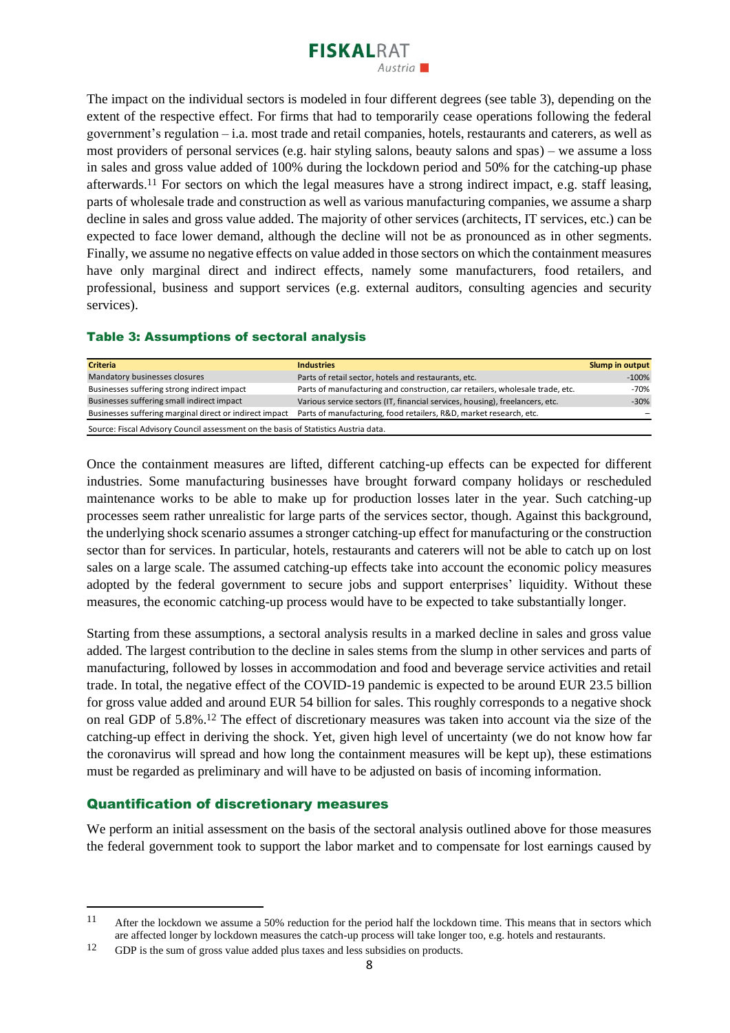

The impact on the individual sectors is modeled in four different degrees (see table 3), depending on the extent of the respective effect. For firms that had to temporarily cease operations following the federal government's regulation – i.a. most trade and retail companies, hotels, restaurants and caterers, as well as most providers of personal services (e.g. hair styling salons, beauty salons and spas) – we assume a loss in sales and gross value added of 100% during the lockdown period and 50% for the catching-up phase afterwards.<sup>11</sup> For sectors on which the legal measures have a strong indirect impact, e.g. staff leasing, parts of wholesale trade and construction as well as various manufacturing companies, we assume a sharp decline in sales and gross value added. The majority of other services (architects, IT services, etc.) can be expected to face lower demand, although the decline will not be as pronounced as in other segments. Finally, we assume no negative effects on value added in those sectors on which the containment measures have only marginal direct and indirect effects, namely some manufacturers, food retailers, and professional, business and support services (e.g. external auditors, consulting agencies and security services).

#### Table 3: Assumptions of sectoral analysis

| <b>Criteria</b>                                                                                                               | <b>Industries</b>                                                             | Slump in output |  |  |  |  |
|-------------------------------------------------------------------------------------------------------------------------------|-------------------------------------------------------------------------------|-----------------|--|--|--|--|
| Mandatory businesses closures                                                                                                 | Parts of retail sector, hotels and restaurants, etc.                          | $-100%$         |  |  |  |  |
| Businesses suffering strong indirect impact                                                                                   | Parts of manufacturing and construction, car retailers, wholesale trade, etc. | -70%            |  |  |  |  |
| Businesses suffering small indirect impact                                                                                    | Various service sectors (IT, financial services, housing), freelancers, etc.  | $-30%$          |  |  |  |  |
| Parts of manufacturing, food retailers, R&D, market research, etc.<br>Businesses suffering marginal direct or indirect impact |                                                                               |                 |  |  |  |  |
| Source: Fiscal Advisory Council assessment on the basis of Statistics Austria data.                                           |                                                                               |                 |  |  |  |  |

Once the containment measures are lifted, different catching-up effects can be expected for different industries. Some manufacturing businesses have brought forward company holidays or rescheduled maintenance works to be able to make up for production losses later in the year. Such catching-up processes seem rather unrealistic for large parts of the services sector, though. Against this background, the underlying shock scenario assumes a stronger catching-up effect for manufacturing or the construction sector than for services. In particular, hotels, restaurants and caterers will not be able to catch up on lost sales on a large scale. The assumed catching-up effects take into account the economic policy measures adopted by the federal government to secure jobs and support enterprises' liquidity. Without these measures, the economic catching-up process would have to be expected to take substantially longer.

Starting from these assumptions, a sectoral analysis results in a marked decline in sales and gross value added. The largest contribution to the decline in sales stems from the slump in other services and parts of manufacturing, followed by losses in accommodation and food and beverage service activities and retail trade. In total, the negative effect of the COVID-19 pandemic is expected to be around EUR 23.5 billion for gross value added and around EUR 54 billion for sales. This roughly corresponds to a negative shock on real GDP of 5.8%. <sup>12</sup> The effect of discretionary measures was taken into account via the size of the catching-up effect in deriving the shock. Yet, given high level of uncertainty (we do not know how far the coronavirus will spread and how long the containment measures will be kept up), these estimations must be regarded as preliminary and will have to be adjusted on basis of incoming information.

#### Quantification of discretionary measures

We perform an initial assessment on the basis of the sectoral analysis outlined above for those measures the federal government took to support the labor market and to compensate for lost earnings caused by

<sup>11</sup> After the lockdown we assume a 50% reduction for the period half the lockdown time. This means that in sectors which are affected longer by lockdown measures the catch-up process will take longer too, e.g. hotels and restaurants.

<sup>&</sup>lt;sup>12</sup> GDP is the sum of gross value added plus taxes and less subsidies on products.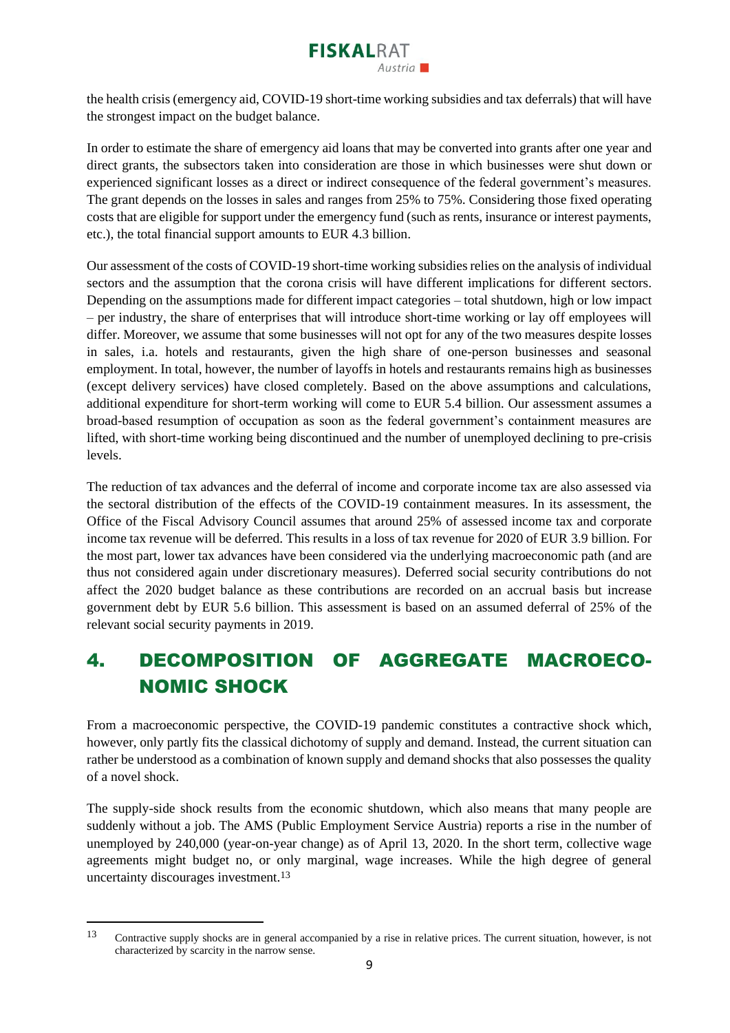

the health crisis (emergency aid, COVID-19 short-time working subsidies and tax deferrals) that will have the strongest impact on the budget balance.

In order to estimate the share of emergency aid loans that may be converted into grants after one year and direct grants, the subsectors taken into consideration are those in which businesses were shut down or experienced significant losses as a direct or indirect consequence of the federal government's measures. The grant depends on the losses in sales and ranges from 25% to 75%. Considering those fixed operating costs that are eligible for support under the emergency fund (such as rents, insurance or interest payments, etc.), the total financial support amounts to EUR 4.3 billion.

Our assessment of the costs of COVID-19 short-time working subsidies relies on the analysis of individual sectors and the assumption that the corona crisis will have different implications for different sectors. Depending on the assumptions made for different impact categories – total shutdown, high or low impact – per industry, the share of enterprises that will introduce short-time working or lay off employees will differ. Moreover, we assume that some businesses will not opt for any of the two measures despite losses in sales, i.a. hotels and restaurants, given the high share of one-person businesses and seasonal employment. In total, however, the number of layoffs in hotels and restaurants remains high as businesses (except delivery services) have closed completely. Based on the above assumptions and calculations, additional expenditure for short-term working will come to EUR 5.4 billion. Our assessment assumes a broad-based resumption of occupation as soon as the federal government's containment measures are lifted, with short-time working being discontinued and the number of unemployed declining to pre-crisis levels.

The reduction of tax advances and the deferral of income and corporate income tax are also assessed via the sectoral distribution of the effects of the COVID-19 containment measures. In its assessment, the Office of the Fiscal Advisory Council assumes that around 25% of assessed income tax and corporate income tax revenue will be deferred. This results in a loss of tax revenue for 2020 of EUR 3.9 billion. For the most part, lower tax advances have been considered via the underlying macroeconomic path (and are thus not considered again under discretionary measures). Deferred social security contributions do not affect the 2020 budget balance as these contributions are recorded on an accrual basis but increase government debt by EUR 5.6 billion. This assessment is based on an assumed deferral of 25% of the relevant social security payments in 2019.

## 4. DECOMPOSITION OF AGGREGATE MACROECO-NOMIC SHOCK

From a macroeconomic perspective, the COVID-19 pandemic constitutes a contractive shock which, however, only partly fits the classical dichotomy of supply and demand. Instead, the current situation can rather be understood as a combination of known supply and demand shocks that also possesses the quality of a novel shock.

The supply-side shock results from the economic shutdown, which also means that many people are suddenly without a job. The AMS (Public Employment Service Austria) reports a rise in the number of unemployed by 240,000 (year-on-year change) as of April 13, 2020. In the short term, collective wage agreements might budget no, or only marginal, wage increases. While the high degree of general uncertainty discourages investment.<sup>13</sup>

<sup>13</sup> Contractive supply shocks are in general accompanied by a rise in relative prices. The current situation, however, is not characterized by scarcity in the narrow sense.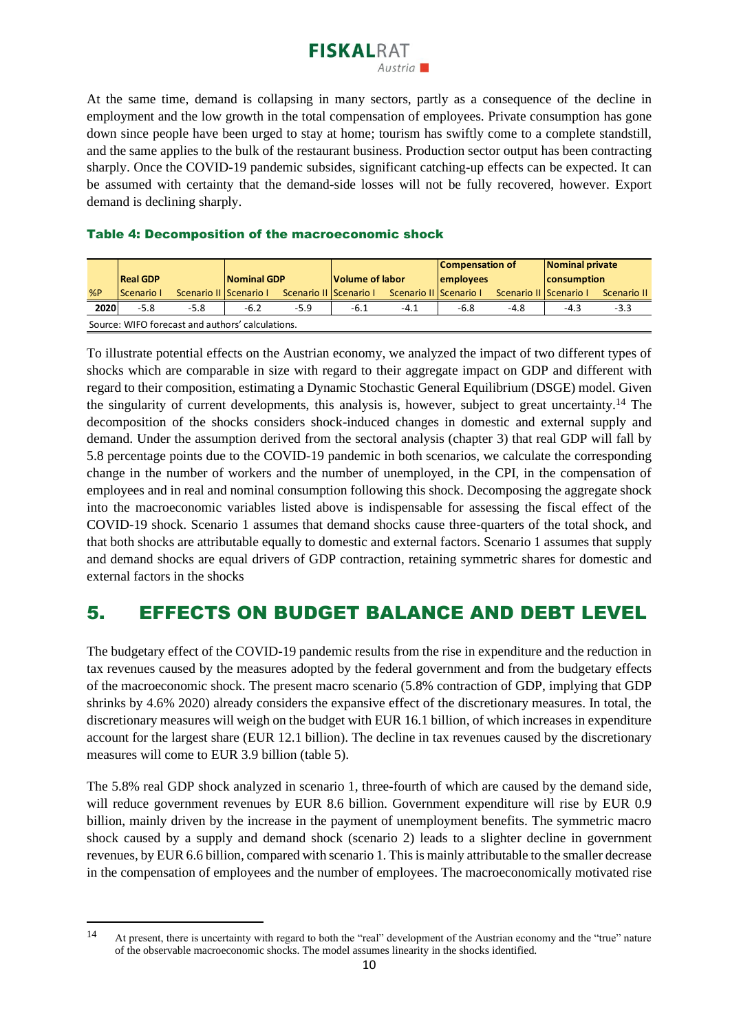

At the same time, demand is collapsing in many sectors, partly as a consequence of the decline in employment and the low growth in the total compensation of employees. Private consumption has gone down since people have been urged to stay at home; tourism has swiftly come to a complete standstill, and the same applies to the bulk of the restaurant business. Production sector output has been contracting sharply. Once the COVID-19 pandemic subsides, significant catching-up effects can be expected. It can be assumed with certainty that the demand-side losses will not be fully recovered, however. Export demand is declining sharply.

#### Table 4: Decomposition of the macroeconomic shock

|                                                  |                    |                        |             |                        |                 |                        | <b>Compensation of</b> |                        | Nominal private |             |
|--------------------------------------------------|--------------------|------------------------|-------------|------------------------|-----------------|------------------------|------------------------|------------------------|-----------------|-------------|
|                                                  | <b>Real GDP</b>    |                        | Nominal GDP |                        | Volume of labor |                        | employees              |                        | consumption     |             |
| %P                                               | <b>IScenario I</b> | Scenario II Scenario I |             | Scenario II Scenario I |                 | Scenario II Scenario I |                        | Scenario II Scenario I |                 | Scenario II |
| 2020                                             | $-5.8$             | $-5.8$                 | $-6.2$      | $-5.9$                 | $-6.1$          | $-4.1$                 | $-6.8$                 | $-4.8$                 | $-4.3$          | $-3.3$      |
| Source: WIFO forecast and authors' calculations. |                    |                        |             |                        |                 |                        |                        |                        |                 |             |

To illustrate potential effects on the Austrian economy, we analyzed the impact of two different types of shocks which are comparable in size with regard to their aggregate impact on GDP and different with regard to their composition, estimating a Dynamic Stochastic General Equilibrium (DSGE) model. Given the singularity of current developments, this analysis is, however, subject to great uncertainty.<sup>14</sup> The decomposition of the shocks considers shock-induced changes in domestic and external supply and demand. Under the assumption derived from the sectoral analysis (chapter 3) that real GDP will fall by 5.8 percentage points due to the COVID-19 pandemic in both scenarios, we calculate the corresponding change in the number of workers and the number of unemployed, in the CPI, in the compensation of employees and in real and nominal consumption following this shock. Decomposing the aggregate shock into the macroeconomic variables listed above is indispensable for assessing the fiscal effect of the COVID-19 shock. Scenario 1 assumes that demand shocks cause three-quarters of the total shock, and that both shocks are attributable equally to domestic and external factors. Scenario 1 assumes that supply and demand shocks are equal drivers of GDP contraction, retaining symmetric shares for domestic and external factors in the shocks

### 5. EFFECTS ON BUDGET BALANCE AND DEBT LEVEL

The budgetary effect of the COVID-19 pandemic results from the rise in expenditure and the reduction in tax revenues caused by the measures adopted by the federal government and from the budgetary effects of the macroeconomic shock. The present macro scenario (5.8% contraction of GDP, implying that GDP shrinks by 4.6% 2020) already considers the expansive effect of the discretionary measures. In total, the discretionary measures will weigh on the budget with EUR 16.1 billion, of which increases in expenditure account for the largest share (EUR 12.1 billion). The decline in tax revenues caused by the discretionary measures will come to EUR 3.9 billion (table 5).

The 5.8% real GDP shock analyzed in scenario 1, three-fourth of which are caused by the demand side, will reduce government revenues by EUR 8.6 billion. Government expenditure will rise by EUR 0.9 billion, mainly driven by the increase in the payment of unemployment benefits. The symmetric macro shock caused by a supply and demand shock (scenario 2) leads to a slighter decline in government revenues, by EUR 6.6 billion, compared with scenario 1. This is mainly attributable to the smaller decrease in the compensation of employees and the number of employees. The macroeconomically motivated rise

<sup>14</sup> At present, there is uncertainty with regard to both the "real" development of the Austrian economy and the "true" nature of the observable macroeconomic shocks. The model assumes linearity in the shocks identified.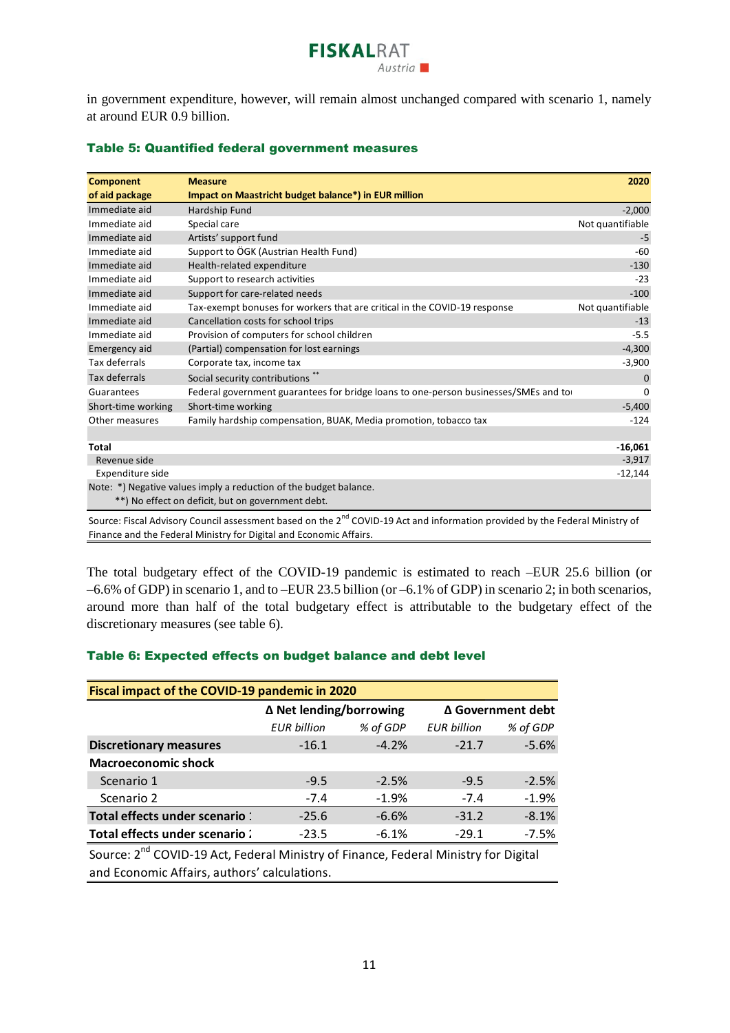

in government expenditure, however, will remain almost unchanged compared with scenario 1, namely at around EUR 0.9 billion.

| <b>Component</b>   | <b>Measure</b>                                                                                                                           | 2020             |
|--------------------|------------------------------------------------------------------------------------------------------------------------------------------|------------------|
| of aid package     | Impact on Maastricht budget balance*) in EUR million                                                                                     |                  |
| Immediate aid      | Hardship Fund                                                                                                                            | $-2,000$         |
| Immediate aid      | Special care                                                                                                                             | Not quantifiable |
| Immediate aid      | Artists' support fund                                                                                                                    | $-5$             |
| Immediate aid      | Support to ÖGK (Austrian Health Fund)                                                                                                    | $-60$            |
| Immediate aid      | Health-related expenditure                                                                                                               | $-130$           |
| Immediate aid      | Support to research activities                                                                                                           | $-23$            |
| Immediate aid      | Support for care-related needs                                                                                                           | $-100$           |
| Immediate aid      | Tax-exempt bonuses for workers that are critical in the COVID-19 response                                                                | Not quantifiable |
| Immediate aid      | Cancellation costs for school trips                                                                                                      | $-13$            |
| Immediate aid      | Provision of computers for school children                                                                                               | $-5.5$           |
| Emergency aid      | (Partial) compensation for lost earnings                                                                                                 | $-4,300$         |
| Tax deferrals      | Corporate tax, income tax                                                                                                                | $-3,900$         |
| Tax deferrals      | Social security contributions                                                                                                            | 0                |
| Guarantees         | Federal government guarantees for bridge loans to one-person businesses/SMEs and to                                                      | 0                |
| Short-time working | Short-time working                                                                                                                       | $-5,400$         |
| Other measures     | Family hardship compensation, BUAK, Media promotion, tobacco tax                                                                         | $-124$           |
|                    |                                                                                                                                          |                  |
| <b>Total</b>       |                                                                                                                                          | $-16,061$        |
| Revenue side       |                                                                                                                                          | $-3,917$         |
| Expenditure side   |                                                                                                                                          | $-12,144$        |
|                    | Note: *) Negative values imply a reduction of the budget balance.                                                                        |                  |
|                    | **) No effect on deficit, but on government debt.                                                                                        |                  |
|                    | Source: Fiscal Advisory Council assessment based on the 2 <sup>nd</sup> COVID-19 Act and information provided by the Eederal Ministry of |                  |

#### Table 5: Quantified federal government measures

NID-19 Act and information provided by the Federal Ministry of Finance and the Federal Ministry for Digital and Economic Affairs.

The total budgetary effect of the COVID-19 pandemic is estimated to reach –EUR 25.6 billion (or –6.6% of GDP) in scenario 1, and to –EUR 23.5 billion (or –6.1% of GDP) in scenario 2; in both scenarios, around more than half of the total budgetary effect is attributable to the budgetary effect of the discretionary measures (see table 6).

#### Table 6: Expected effects on budget balance and debt level

| Fiscal impact of the COVID-19 pandemic in 2020                                                  |                    |                         |                    |                   |  |  |  |
|-------------------------------------------------------------------------------------------------|--------------------|-------------------------|--------------------|-------------------|--|--|--|
|                                                                                                 |                    | Δ Net lending/borrowing |                    | ∆ Government debt |  |  |  |
|                                                                                                 | <b>EUR</b> billion | % of GDP                | <b>EUR billion</b> | % of GDP          |  |  |  |
| <b>Discretionary measures</b>                                                                   | $-16.1$            | $-4.2%$                 | $-21.7$            | $-5.6%$           |  |  |  |
| <b>Macroeconomic shock</b>                                                                      |                    |                         |                    |                   |  |  |  |
| Scenario 1                                                                                      | $-9.5$             | $-2.5%$                 | $-9.5$             | $-2.5%$           |  |  |  |
| Scenario 2                                                                                      | $-7.4$             | $-1.9%$                 | $-7.4$             | $-1.9%$           |  |  |  |
| Total effects under scenario :                                                                  | $-25.6$            | $-6.6%$                 | $-31.2$            | $-8.1%$           |  |  |  |
| Total effects under scenario:<br>$-7.5%$<br>$-6.1%$<br>$-29.1$<br>$-23.5$                       |                    |                         |                    |                   |  |  |  |
| Course: 2 <sup>nd</sup> COVID 10 Ast. Eaderal Ministry of Finance, Eaderal Ministry for Digital |                    |                         |                    |                   |  |  |  |

Source: 2<sup>nd</sup> COVID-19 Act, Federal Ministry of Finance, Federal Ministry for Digital and Economic Affairs, authors' calculations.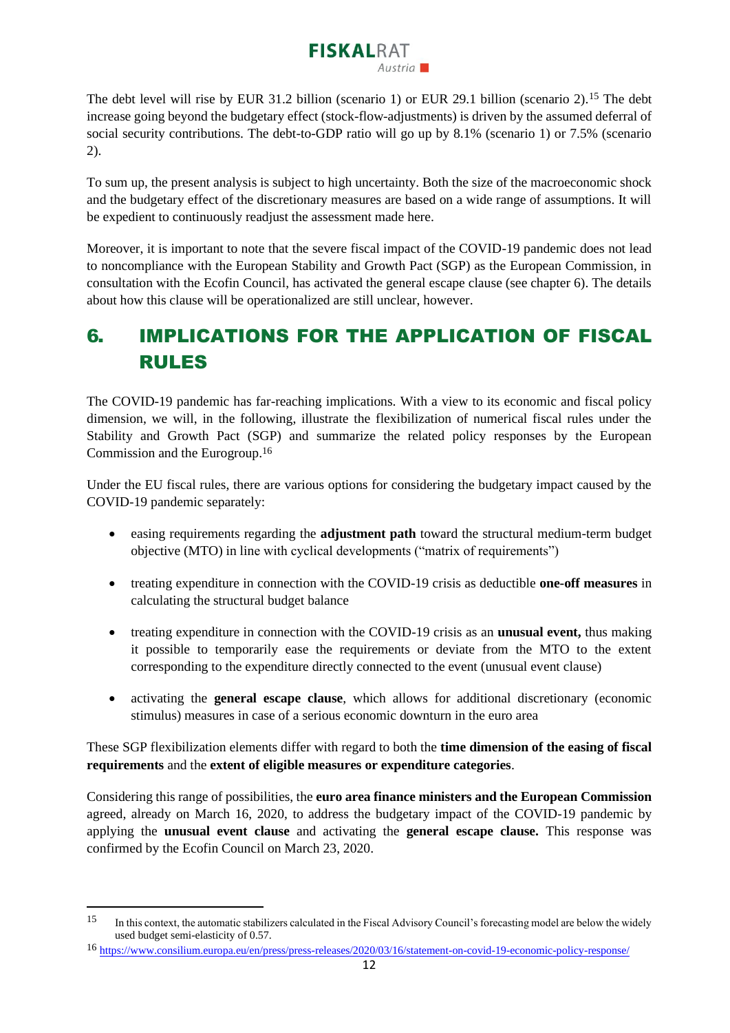# **FISKALRAT**

The debt level will rise by EUR 31.2 billion (scenario 1) or EUR 29.1 billion (scenario 2).<sup>15</sup> The debt increase going beyond the budgetary effect (stock-flow-adjustments) is driven by the assumed deferral of social security contributions. The debt-to-GDP ratio will go up by 8.1% (scenario 1) or 7.5% (scenario 2).

To sum up, the present analysis is subject to high uncertainty. Both the size of the macroeconomic shock and the budgetary effect of the discretionary measures are based on a wide range of assumptions. It will be expedient to continuously readjust the assessment made here.

Moreover, it is important to note that the severe fiscal impact of the COVID-19 pandemic does not lead to noncompliance with the European Stability and Growth Pact (SGP) as the European Commission, in consultation with the Ecofin Council, has activated the general escape clause (see chapter 6). The details about how this clause will be operationalized are still unclear, however.

### 6. IMPLICATIONS FOR THE APPLICATION OF FISCAL RULES

The COVID-19 pandemic has far-reaching implications. With a view to its economic and fiscal policy dimension, we will, in the following, illustrate the flexibilization of numerical fiscal rules under the Stability and Growth Pact (SGP) and summarize the related policy responses by the European Commission and the Eurogroup.<sup>16</sup>

Under the EU fiscal rules, there are various options for considering the budgetary impact caused by the COVID-19 pandemic separately:

- easing requirements regarding the **adjustment path** toward the structural medium-term budget objective (MTO) in line with cyclical developments ("matrix of requirements")
- treating expenditure in connection with the COVID-19 crisis as deductible **one-off measures** in calculating the structural budget balance
- treating expenditure in connection with the COVID-19 crisis as an **unusual event,** thus making it possible to temporarily ease the requirements or deviate from the MTO to the extent corresponding to the expenditure directly connected to the event (unusual event clause)
- activating the **general escape clause**, which allows for additional discretionary (economic stimulus) measures in case of a serious economic downturn in the euro area

These SGP flexibilization elements differ with regard to both the **time dimension of the easing of fiscal requirements** and the **extent of eligible measures or expenditure categories**.

Considering this range of possibilities, the **euro area finance ministers and the European Commission** agreed, already on March 16, 2020, to address the budgetary impact of the COVID-19 pandemic by applying the **unusual event clause** and activating the **general escape clause.** This response was confirmed by the Ecofin Council on March 23, 2020.

<sup>&</sup>lt;sup>15</sup> In this context, the automatic stabilizers calculated in the Fiscal Advisory Council's forecasting model are below the widely used budget semi-elasticity of 0.57.

<sup>16</sup> <https://www.consilium.europa.eu/en/press/press-releases/2020/03/16/statement-on-covid-19-economic-policy-response/>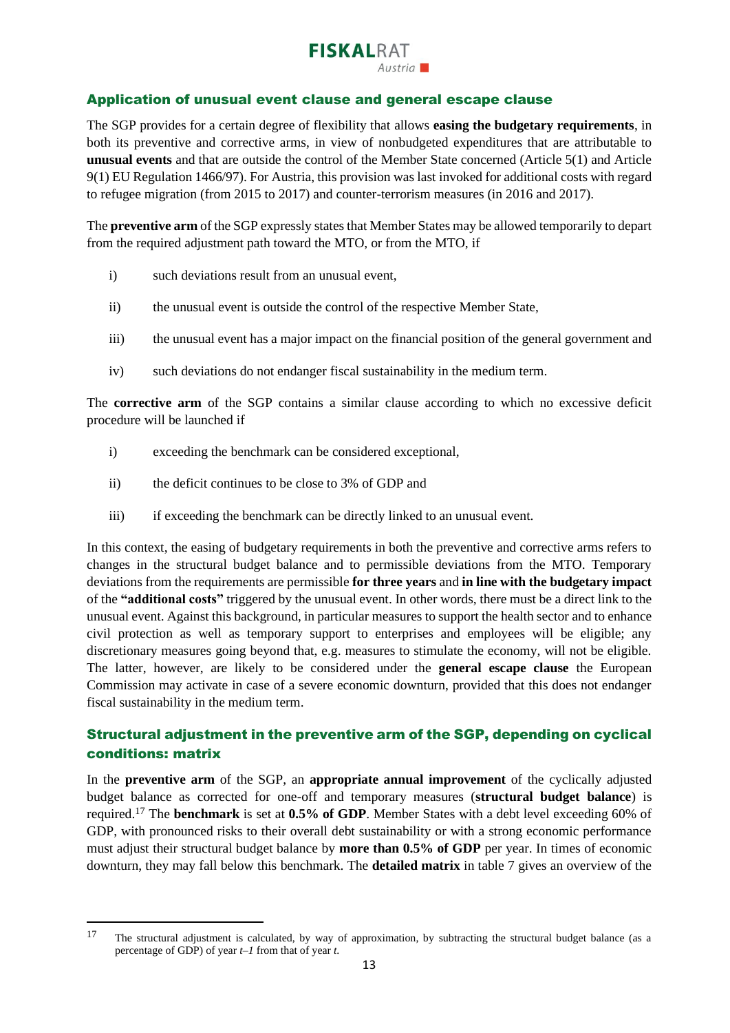# **FISKALRAT**

### Application of unusual event clause and general escape clause

The SGP provides for a certain degree of flexibility that allows **easing the budgetary requirements**, in both its preventive and corrective arms, in view of nonbudgeted expenditures that are attributable to **unusual events** and that are outside the control of the Member State concerned (Article 5(1) and Article 9(1) EU Regulation 1466/97). For Austria, this provision was last invoked for additional costs with regard to refugee migration (from 2015 to 2017) and counter-terrorism measures (in 2016 and 2017).

The **preventive arm** of the SGP expressly states that Member States may be allowed temporarily to depart from the required adjustment path toward the MTO, or from the MTO, if

- i) such deviations result from an unusual event,
- ii) the unusual event is outside the control of the respective Member State,
- iii) the unusual event has a major impact on the financial position of the general government and
- iv) such deviations do not endanger fiscal sustainability in the medium term.

The **corrective arm** of the SGP contains a similar clause according to which no excessive deficit procedure will be launched if

- i) exceeding the benchmark can be considered exceptional,
- ii) the deficit continues to be close to 3% of GDP and
- iii) if exceeding the benchmark can be directly linked to an unusual event.

In this context, the easing of budgetary requirements in both the preventive and corrective arms refers to changes in the structural budget balance and to permissible deviations from the MTO. Temporary deviations from the requirements are permissible **for three years** and **in line with the budgetary impact** of the **"additional costs"** triggered by the unusual event. In other words, there must be a direct link to the unusual event. Against this background, in particular measures to support the health sector and to enhance civil protection as well as temporary support to enterprises and employees will be eligible; any discretionary measures going beyond that, e.g. measures to stimulate the economy, will not be eligible. The latter, however, are likely to be considered under the **general escape clause** the European Commission may activate in case of a severe economic downturn, provided that this does not endanger fiscal sustainability in the medium term.

### Structural adjustment in the preventive arm of the SGP, depending on cyclical conditions: matrix

In the **preventive arm** of the SGP, an **appropriate annual improvement** of the cyclically adjusted budget balance as corrected for one-off and temporary measures (**structural budget balance**) is required.<sup>17</sup> The **benchmark** is set at **0.5% of GDP**. Member States with a debt level exceeding 60% of GDP, with pronounced risks to their overall debt sustainability or with a strong economic performance must adjust their structural budget balance by **more than 0.5% of GDP** per year. In times of economic downturn, they may fall below this benchmark. The **detailed matrix** in table 7 gives an overview of the

<sup>17</sup> The structural adjustment is calculated, by way of approximation, by subtracting the structural budget balance (as a percentage of GDP) of year *t–1* from that of year *t*.